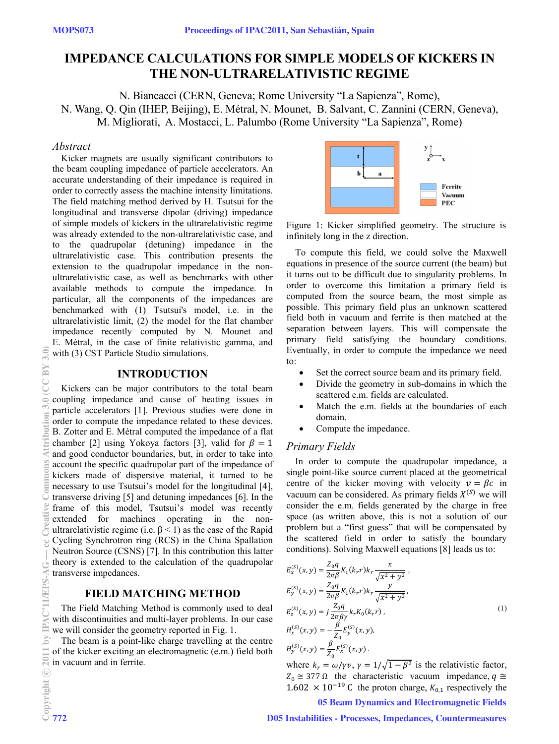# **IMPEDANCE CALCULATIONS FOR SIMPLE MODELS OF KICKERS IN THE NON-ULTRARELATIVISTIC REGIME**

N. Biancacci (CERN, Geneva; Rome University "La Sapienza", Rome), N. Wang, Q. Qin (IHEP, Beijing), E. Métral, N. Mounet, B. Salvant, C. Zannini (CERN, Geneva), M. Migliorati, A. Mostacci, L. Palumbo (Rome University "La Sapienza", Rome)

## *Abstract*

Kicker magnets are usually significant contributors to the beam coupling impedance of particle accelerators. An accurate understanding of their impedance is required in order to correctly assess the machine intensity limitations. The field matching method derived by H. Tsutsui for the longitudinal and transverse dipolar (driving) impedance of simple models of kickers in the ultrarelativistic regime was already extended to the non-ultrarelativistic case, and to the quadrupolar (detuning) impedance in the ultrarelativistic case. This contribution presents the extension to the quadrupolar impedance in the nonultrarelativistic case, as well as benchmarks with other available methods to compute the impedance. In particular, all the components of the impedances are benchmarked with (1) Tsutsui's model, i.e. in the ultrarelativistic limit, (2) the model for the flat chamber impedance recently computed by N. Mounet and E. Métral, in the case of finite relativistic gamma, and with (3) CST Particle Studio simulations.

## **INTRODUCTION**

Kickers can be major contributors to the total beam coupling impedance and cause of heating issues in particle accelerators [1]. Previous studies were done in order to compute the impedance related to these devices. B. Zotter and E. Métral computed the impedance of a flat chamber [2] using Yokoya factors [3], valid for  $\beta = 1$ and good conductor boundaries, but, in order to take into account the specific quadrupolar part of the impedance of kickers made of dispersive material, it turned to be necessary to use Tsutsui's model for the longitudinal [4], transverse driving [5] and detuning impedances [6]. In the frame of this model, Tsutsui's model was recently extended for machines operating in the nonultrarelativistic regime (i.e.  $β < 1$ ) as the case of the Rapid Cycling Synchrotron ring (RCS) in the China Spallation Neutron Source (CSNS) [7]. In this contribution this latter theory is extended to the calculation of the quadrupolar transverse impedances.

# **FIELD MATCHING METHOD**

The Field Matching Method is commonly used to deal with discontinuities and multi-layer problems. In our case we will consider the geometry reported in Fig. 1.

The beam is a point-like charge travelling at the centre of the kicker exciting an electromagnetic (e.m.) field both  $\ddot{a}$  in vacuum and in ferrite.



Figure 1: Kicker simplified geometry. The structure is infinitely long in the z direction.

To compute this field, we could solve the Maxwell equations in presence of the source current (the beam) but it turns out to be difficult due to singularity problems. In order to overcome this limitation a primary field is computed from the source beam, the most simple as possible. This primary field plus an unknown scattered field both in vacuum and ferrite is then matched at the separation between layers. This will compensate the primary field satisfying the boundary conditions. Eventually, in order to compute the impedance we need to:

- Set the correct source beam and its primary field.
- Divide the geometry in sub-domains in which the scattered e.m. fields are calculated.
- Match the e.m. fields at the boundaries of each domain.
- Compute the impedance.

#### *Primary Fields*

In order to compute the quadrupolar impedance, a single point-like source current placed at the geometrical centre of the kicker moving with velocity  $v = \beta c$  in vacuum can be considered. As primary fields  $X^{(S)}$  we will consider the e.m. fields generated by the charge in free space (as written above, this is not a solution of our problem but a "first guess" that will be compensated by the scattered field in order to satisfy the boundary conditions). Solving Maxwell equations [8] leads us to:

$$
E_x^{(S)}(x, y) = \frac{Z_0 q}{2\pi \beta} K_1(k_r r) k_r \frac{x}{\sqrt{x^2 + y^2}},
$$
  
\n
$$
E_y^{(S)}(x, y) = \frac{Z_0 q}{2\pi \beta} K_1(k_r r) k_r \frac{y}{\sqrt{x^2 + y^2}},
$$
  
\n
$$
E_z^{(S)}(x, y) = j \frac{Z_0 q}{2\pi \beta \gamma} k_r K_0(k_r r),
$$
  
\n
$$
H_x^{(S)}(x, y) = -\frac{\beta}{Z_0} E_y^{(S)}(x, y),
$$
  
\n
$$
H_y^{(S)}(x, y) = \frac{\beta}{Z_0} E_x^{(S)}(x, y).
$$
  
\n(1)

where  $k_r = \omega / \gamma v$ ,  $\gamma = 1/\sqrt{1 - \beta^2}$  is the relativistic factor,  $Z_0 \cong 377 \Omega$  the characteristic vacuum impedance,  $q \cong$  $1.602 \times 10^{-19}$  C the proton charge,  $K_{0,1}$  respectively the

05 Beam Dynamics and Electromagnetic Fields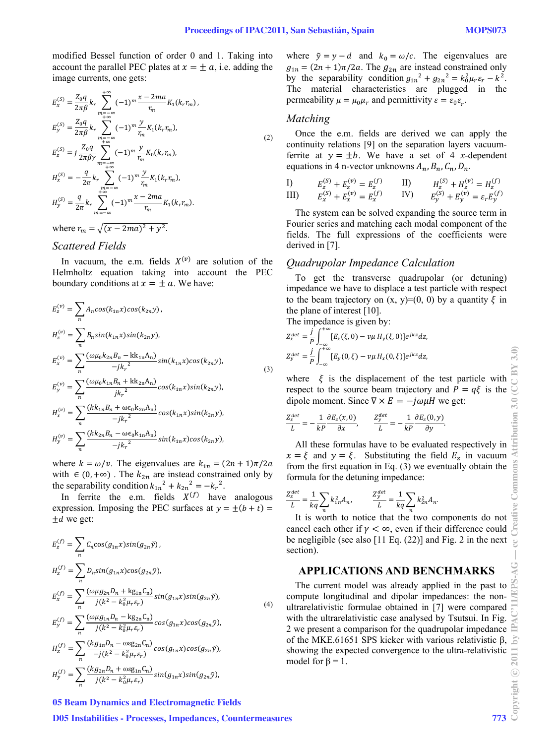modified Bessel function of order 0 and 1. Taking into account the parallel PEC plates at  $x = \pm a$ , i.e. adding the image currents, one gets:

$$
E_x^{(S)} = \frac{Z_0 q}{2\pi \beta} k_r \sum_{\substack{m=-\infty \\ m=\infty}}^{+\infty} (-1)^m \frac{x - 2ma}{r_m} K_1(k_r r_m),
$$
  
\n
$$
E_y^{(S)} = \frac{Z_0 q}{2\pi \beta} k_r \sum_{\substack{m=-\infty \\ m=\infty}}^{+\infty} (-1)^m \frac{y}{r_m} K_1(k_r r_m),
$$
  
\n
$$
E_z^{(S)} = j \frac{Z_0 q}{2\pi \beta \gamma} \sum_{\substack{m=-\infty \\ m=-\infty}}^{+\infty} (-1)^m \frac{y}{r_m} K_0(k_r r_m),
$$
  
\n
$$
H_x^{(S)} = -\frac{q}{2\pi} k_r \sum_{\substack{m=-\infty \\ m=-\infty}}^{+\infty} (-1)^m \frac{y}{r_m} K_1(k_r r_m),
$$
  
\n
$$
H_y^{(S)} = \frac{q}{2\pi} k_r \sum_{m=-\infty}^{+\infty} (-1)^m \frac{x - 2ma}{r_m} K_1(k_r r_m).
$$
  
\nwhere  $r_m = \sqrt{(x - 2ma)^2 + y^2}.$ 

#### *Scattered Fields*

In vacuum, the e.m. fields  $X^{(v)}$  are solution of the Helmholtz equation taking into account the PEC boundary conditions at  $x = \pm a$ . We have:

$$
E_z^{(v)} = \sum_n A_n \cos(k_{1n}x)\cos(k_{2n}y),
$$
  
\n
$$
H_z^{(v)} = \sum_n B_n \sin(k_{1n}x)\sin(k_{2n}y),
$$
  
\n
$$
E_x^{(v)} = \sum_n \frac{(\omega\mu_0 k_{2n} B_n - \text{kk}_{1n} A_n)}{-jk_r^2} \sin(k_{1n}x)\cos(k_{2n}y),
$$
  
\n
$$
E_y^{(v)} = \sum_n \frac{(\omega\mu_0 k_{1n} B_n + \text{kk}_{2n} A_n)}{jk_r^2} \cos(k_{1n}x)\sin(k_{2n}y),
$$
  
\n
$$
H_x^{(v)} = \sum_n \frac{(kk_{1n} B_n + \omega \epsilon_0 k_{2n} A_n)}{-jk_r^2} \cos(k_{1n}x)\sin(k_{2n}y),
$$
  
\n
$$
H_y^{(v)} = \sum_n \frac{(kk_{2n} B_n - \omega \epsilon_0 k_{1n} A_n)}{-jk_r^2} \sin(k_{1n}x)\cos(k_{2n}y),
$$
  
\n(3)

where  $k = \omega/v$ . The eigenvalues are  $k_{1n} = (2n + 1)\pi/2a$ with  $\in (0, +\infty)$ . The  $k_{2n}$  are instead constrained only by the separability condition  $k_{1n}^{2} + k_{2n}^{2} = -k_{r}^{2}$ .

In ferrite the e.m. fields  $X^{(f)}$  have analogous expression. Imposing the PEC surfaces at  $y = \pm (b + t)$  $\pm d$  we get:

$$
E_z^{(f)} = \sum_n C_n \cos(g_{1n}x)\sin(g_{2n}\tilde{y}),
$$
  
\n
$$
H_z^{(f)} = \sum_n D_n \sin(g_{1n}x)\cos(g_{2n}\tilde{y}),
$$
  
\n
$$
E_x^{(f)} = \sum_n \frac{(\omega \mu g_{2n}D_n + \text{kg}_{1n}C_n)}{j(k^2 - k_0^2\mu_r \varepsilon_r)}\sin(g_{1n}x)\sin(g_{2n}\tilde{y}),
$$
  
\n
$$
E_y^{(f)} = \sum_n \frac{(\omega \mu g_{1n}D_n - \text{kg}_{2n}C_n)}{j(k^2 - k_0^2\mu_r \varepsilon_r)}\cos(g_{1n}x)\cos(g_{2n}\tilde{y}),
$$
  
\n
$$
H_x^{(f)} = \sum_n \frac{(k g_{1n}D_n - \text{osc}_{2n}C_n)}{-j(k^2 - k_0^2\mu_r \varepsilon_r)}\cos(g_{1n}x)\cos(g_{2n}\tilde{y}),
$$
  
\n
$$
H_y^{(f)} = \sum_n \frac{(k g_{2n}D_n + \text{osc}_{31n}C_n)}{j(k^2 - k_0^2\mu_r \varepsilon_r)}\sin(g_{1n}x)\sin(g_{2n}\tilde{y}),
$$
  
\n(4)

where  $\tilde{v} = y - d$  and  $k_0 = \omega/c$ . The eigenvalues are  $g_{1n} = (2n + 1)\pi/2a$ . The  $g_{2n}$  are instead constrained only by the separability condition  $g_{1n}^2 + g_{2n}^2 = k_0^2 \mu_r \varepsilon_r - k^2$ . The material characteristics are plugged in the permeability  $\mu = \mu_0 \mu_r$  and permittivity  $\varepsilon = \varepsilon_0 \varepsilon_r$ .

#### *Matching*

Once the e.m. fields are derived we can apply the continuity relations [9] on the separation layers vacuumferrite at  $y = \pm b$ . We have a set of 4 *x*-dependent equations in 4 n-vector unknowns  $A_n$ ,  $B_n$ ,  $C_n$ ,  $D_n$ .

I) 
$$
E_z^{(S)} + E_z^{(v)} = E_z^{(f)}
$$
 II)  $H_z^{(S)} + H_z^{(v)} = H_z^{(f)}$   
III)  $E_x^{(S)} + E_x^{(v)} = E_x^{(f)}$  IV)  $E_y^{(S)} + E_y^{(v)} = \varepsilon_r E_y^{(f)}$ 

The system can be solved expanding the source term in Fourier series and matching each modal component of the fields. The full expressions of the coefficients were derived in [7].

#### *Quadrupolar Impedance Calculation*

To get the transverse quadrupolar (or detuning) impedance we have to displace a test particle with respect to the beam trajectory on  $(x, y)=(0, 0)$  by a quantity  $\xi$  in the plane of interest [10].

The impedance is given by:

$$
Z_x^{det} = \frac{j}{p} \int_{-\infty}^{+\infty} [E_x(\xi, 0) - \nu \mu H_y(\xi, 0)] e^{jkz} dz,
$$
  

$$
Z_y^{det} = \frac{j}{p} \int_{-\infty}^{+\infty} [E_y(0, \xi) - \nu \mu H_x(0, \xi)] e^{jkz} dz,
$$

where  $\xi$  is the displacement of the test particle with respect to the source beam trajectory and  $P = q\xi$  is the dipole moment. Since  $\nabla \times E = -j\omega \mu H$  we get:

.

$$
\frac{Z_x^{det}}{L} = -\frac{1}{kP} \frac{\partial E_z(x,0)}{\partial x}, \qquad \frac{Z_y^{det}}{L} = -\frac{1}{kP} \frac{\partial E_z(0,y)}{\partial y}
$$

All these formulas have to be evaluated respectively in  $x = \xi$  and  $y = \xi$ . Substituting the field  $E_z$  in vacuum from the first equation in Eq. (3) we eventually obtain the formula for the detuning impedance:

$$
\frac{Z_x^{det}}{L} = \frac{1}{kq} \sum_n k_{1n}^2 A_n, \qquad \frac{Z_y^{det}}{L} = \frac{1}{kq} \sum_n k_{2n}^2 A_n.
$$

It is worth to notice that the two components do not include that the two components do not include the two components do not include the contract  $\gamma < \infty$ , even if their difference could cancel each other if  $\gamma < \infty$ , even if their difference could be negligible (see also [11 Eq. (22)] and Fig. 2 in the next section).

## **APPLICATIONS AND BENCHMARKS**

The current model was already applied in the past to compute longitudinal and dipolar impedances: the nonultrarelativistic formulae obtained in [7] were compared with the ultrarelativistic case analysed by Tsutsui. In Fig. 2 we present a comparison for the quadrupolar impedance of the MKE.61651 SPS kicker with various relativistic β, showing the expected convergence to the ultra-relativistic model for  $\beta = 1$ .

#### 05 Beam Dynamics and Electromagnetic Fields

D05 Instabilities - Processes, Impedances, Countermeasures